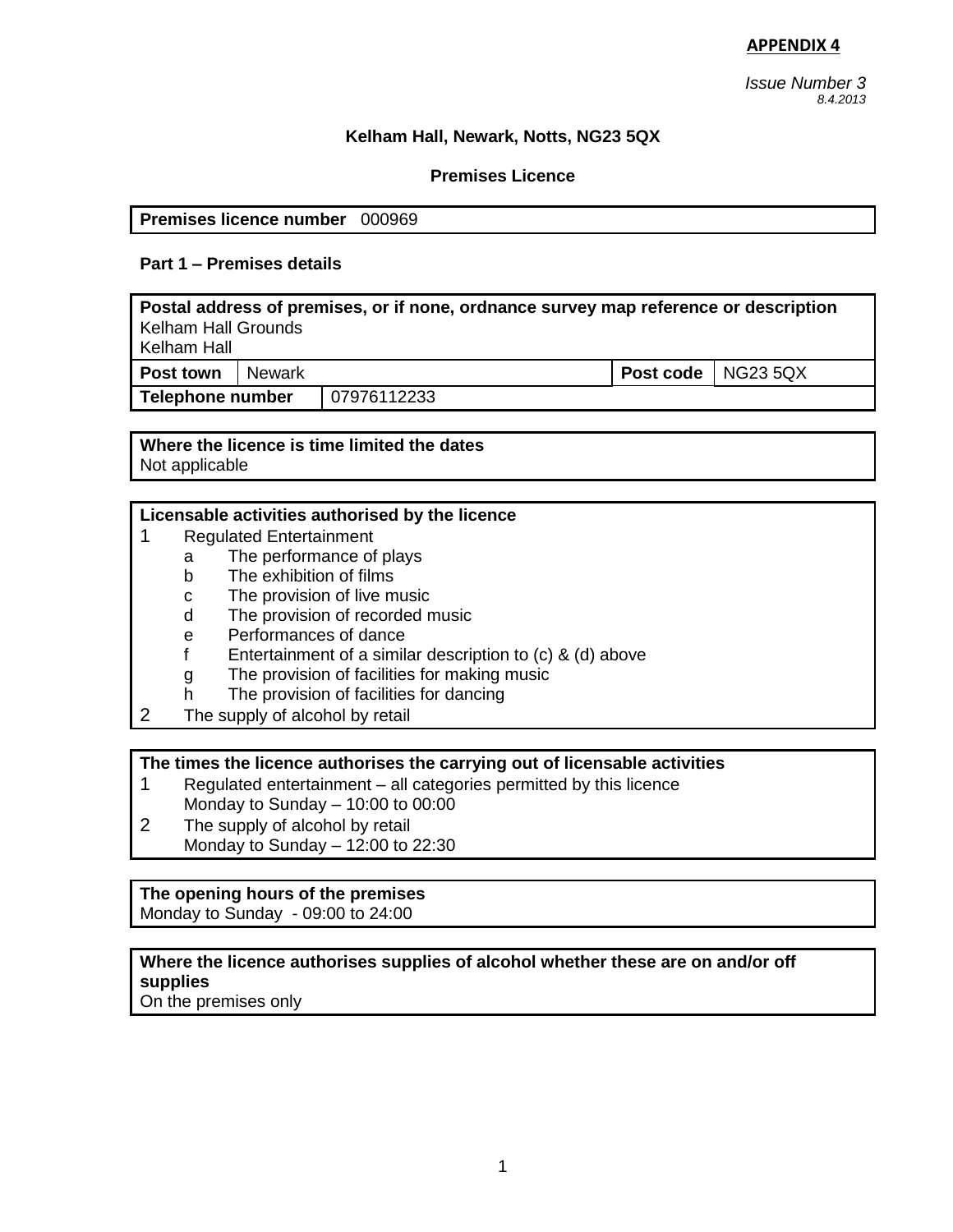*Issue Number 3 8.4.2013* 

# **Kelham Hall, Newark, Notts, NG23 5QX**

# **Premises Licence**

**Premises licence number** 000969

### **Part 1 – Premises details**

**Postal address of premises, or if none, ordnance survey map reference or description** Kelham Hall Grounds Kelham Hall **Post town** Newark **Post code** NG23 5QX **Telephone number** 07976112233

**Where the licence is time limited the dates** Not applicable

#### **Licensable activities authorised by the licence**

- 1 Regulated Entertainment
	- a The performance of plays
		- b The exhibition of films
		- c The provision of live music
		- d The provision of recorded music
		- e Performances of dance
		- f Entertainment of a similar description to (c) & (d) above
		- g The provision of facilities for making music
		- h The provision of facilities for dancing
- 2 The supply of alcohol by retail

#### **The times the licence authorises the carrying out of licensable activities**

- 1 Regulated entertainment all categories permitted by this licence Monday to Sunday – 10:00 to 00:00
- 2 The supply of alcohol by retail Monday to Sunday – 12:00 to 22:30

# **The opening hours of the premises**

Monday to Sunday - 09:00 to 24:00

#### **Where the licence authorises supplies of alcohol whether these are on and/or off supplies**

On the premises only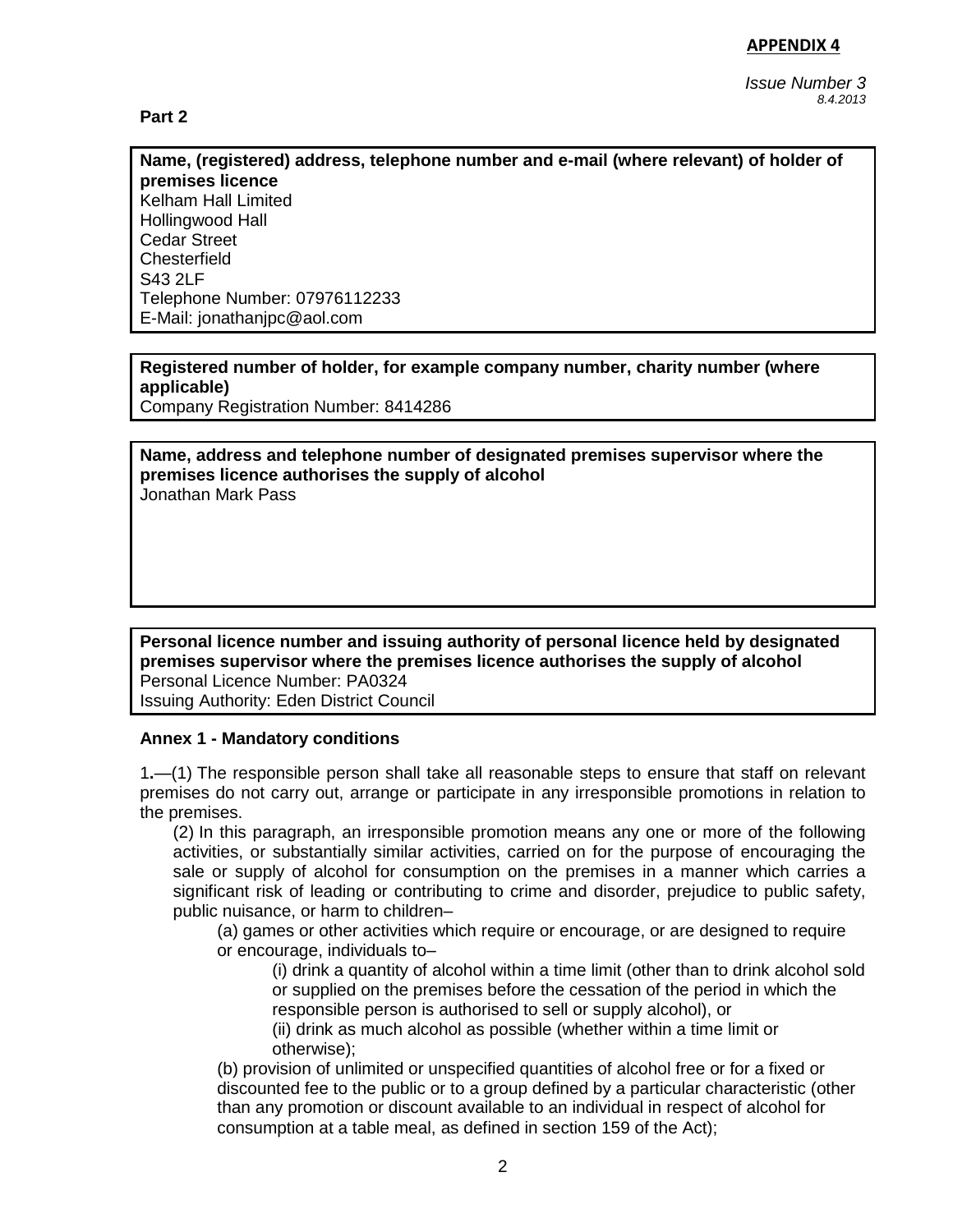**Part 2** 

*Issue Number 3 8.4.2013* 

**Name, (registered) address, telephone number and e-mail (where relevant) of holder of premises licence** Kelham Hall Limited

Hollingwood Hall Cedar Street **Chesterfield** S<sub>43</sub> 2LF Telephone Number: 07976112233 E-Mail: jonathanjpc@aol.com

**Registered number of holder, for example company number, charity number (where applicable)**

Company Registration Number: 8414286

**Name, address and telephone number of designated premises supervisor where the premises licence authorises the supply of alcohol** Jonathan Mark Pass

**Personal licence number and issuing authority of personal licence held by designated premises supervisor where the premises licence authorises the supply of alcohol** Personal Licence Number: PA0324 Issuing Authority: Eden District Council

#### **Annex 1 - Mandatory conditions**

1**.**—(1) The responsible person shall take all reasonable steps to ensure that staff on relevant premises do not carry out, arrange or participate in any irresponsible promotions in relation to the premises.

(2) In this paragraph, an irresponsible promotion means any one or more of the following activities, or substantially similar activities, carried on for the purpose of encouraging the sale or supply of alcohol for consumption on the premises in a manner which carries a significant risk of leading or contributing to crime and disorder, prejudice to public safety, public nuisance, or harm to children–

(a) games or other activities which require or encourage, or are designed to require or encourage, individuals to–

(i) drink a quantity of alcohol within a time limit (other than to drink alcohol sold or supplied on the premises before the cessation of the period in which the responsible person is authorised to sell or supply alcohol), or

(ii) drink as much alcohol as possible (whether within a time limit or otherwise);

(b) provision of unlimited or unspecified quantities of alcohol free or for a fixed or discounted fee to the public or to a group defined by a particular characteristic (other than any promotion or discount available to an individual in respect of alcohol for consumption at a table meal, as defined in section 159 of the Act);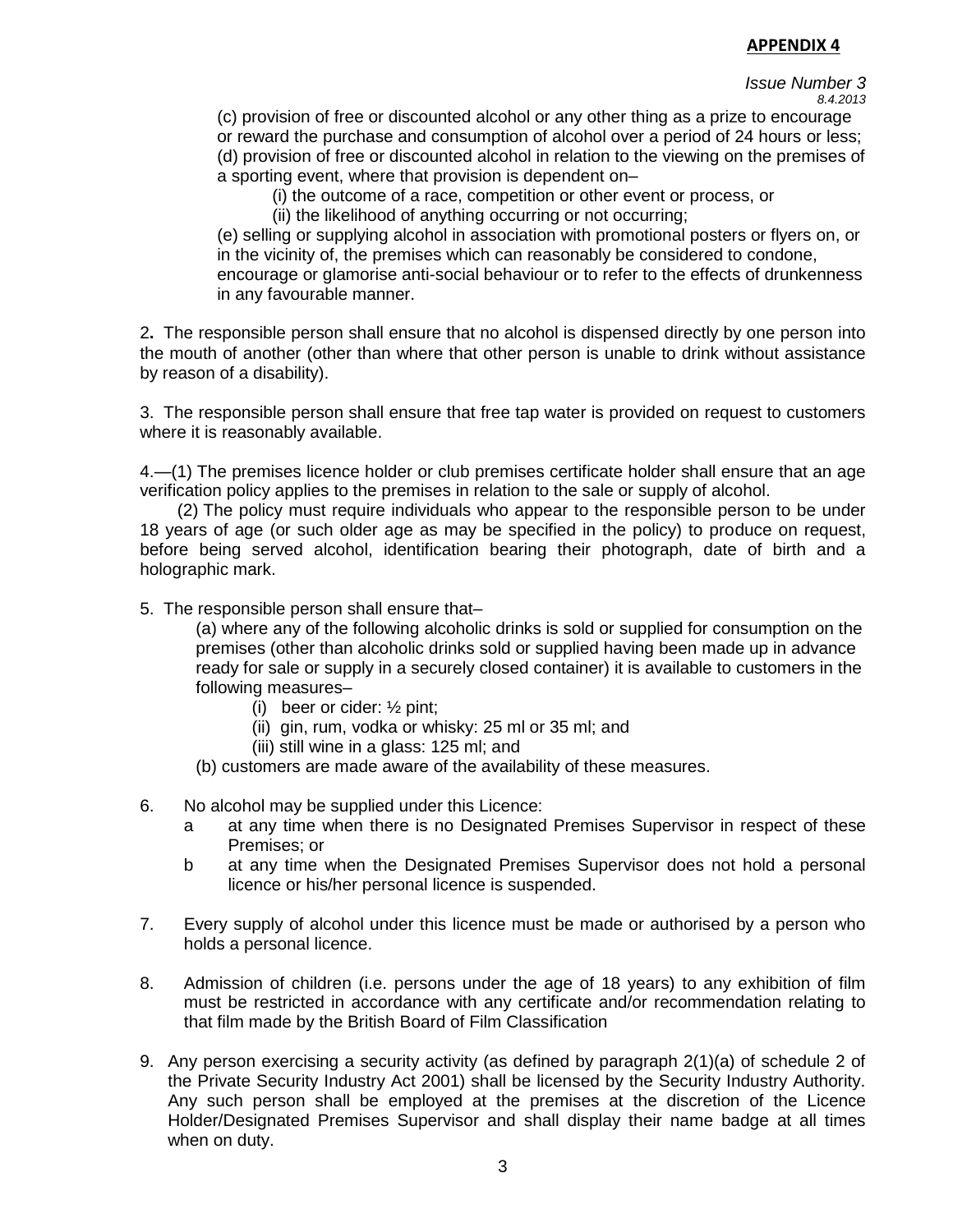#### *Issue Number 3 8.4.2013*

(c) provision of free or discounted alcohol or any other thing as a prize to encourage or reward the purchase and consumption of alcohol over a period of 24 hours or less; (d) provision of free or discounted alcohol in relation to the viewing on the premises of a sporting event, where that provision is dependent on–

(i) the outcome of a race, competition or other event or process, or

(ii) the likelihood of anything occurring or not occurring;

(e) selling or supplying alcohol in association with promotional posters or flyers on, or in the vicinity of, the premises which can reasonably be considered to condone, encourage or glamorise anti-social behaviour or to refer to the effects of drunkenness in any favourable manner.

2**.** The responsible person shall ensure that no alcohol is dispensed directly by one person into the mouth of another (other than where that other person is unable to drink without assistance by reason of a disability).

3. The responsible person shall ensure that free tap water is provided on request to customers where it is reasonably available.

4.—(1) The premises licence holder or club premises certificate holder shall ensure that an age verification policy applies to the premises in relation to the sale or supply of alcohol.

 (2) The policy must require individuals who appear to the responsible person to be under 18 years of age (or such older age as may be specified in the policy) to produce on request, before being served alcohol, identification bearing their photograph, date of birth and a holographic mark.

5. The responsible person shall ensure that–

(a) where any of the following alcoholic drinks is sold or supplied for consumption on the premises (other than alcoholic drinks sold or supplied having been made up in advance ready for sale or supply in a securely closed container) it is available to customers in the following measures–

- (i) beer or cider: ½ pint;
- (ii) gin, rum, vodka or whisky: 25 ml or 35 ml; and
- (iii) still wine in a glass: 125 ml; and
- (b) customers are made aware of the availability of these measures.
- 6. No alcohol may be supplied under this Licence:
	- a at any time when there is no Designated Premises Supervisor in respect of these Premises; or
	- b at any time when the Designated Premises Supervisor does not hold a personal licence or his/her personal licence is suspended.
- 7. Every supply of alcohol under this licence must be made or authorised by a person who holds a personal licence.
- 8. Admission of children (i.e. persons under the age of 18 years) to any exhibition of film must be restricted in accordance with any certificate and/or recommendation relating to that film made by the British Board of Film Classification
- 9. Any person exercising a security activity (as defined by paragraph 2(1)(a) of schedule 2 of the Private Security Industry Act 2001) shall be licensed by the Security Industry Authority. Any such person shall be employed at the premises at the discretion of the Licence Holder/Designated Premises Supervisor and shall display their name badge at all times when on duty.